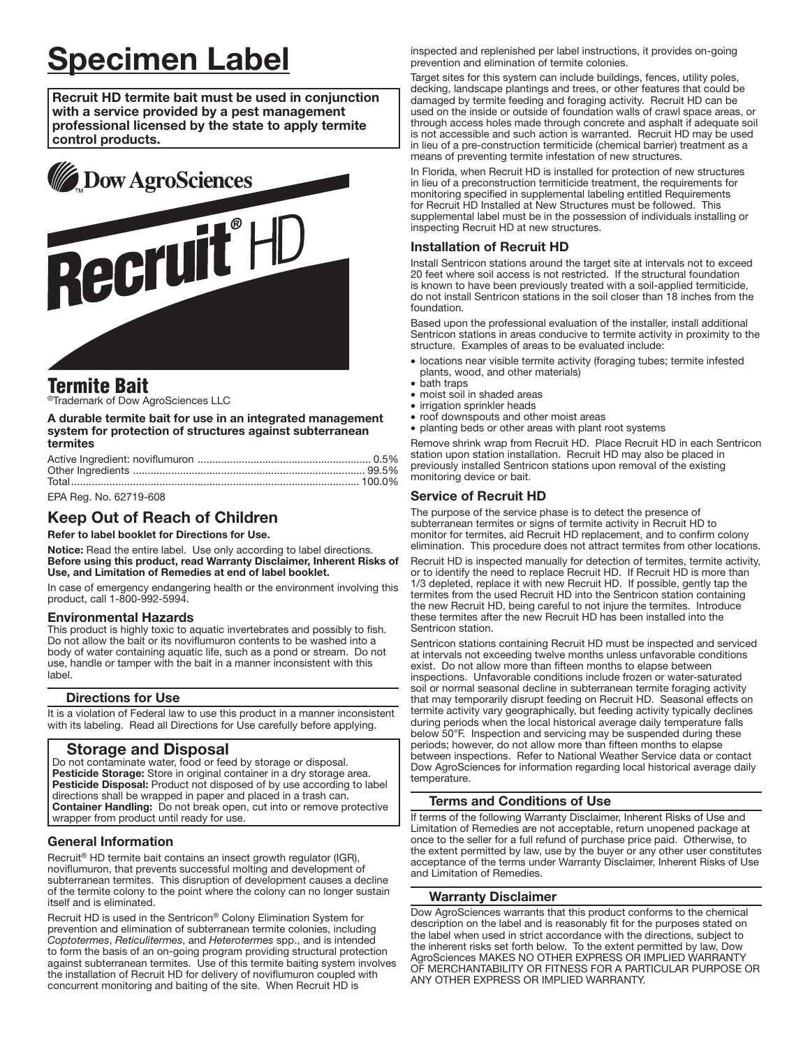# **Specimen Label**

Recruit HD termite bait must be used in conjunction with a service provided by a pest management professional licensed by the state to apply termite control products.



# **Termite Bait**

®Trademark of Dow AgroSciences LLC

#### A durable termite bait for use in an integrated management system for protection of structures against subterranean termites

| EPA Rea. No. 62719-608 |  |
|------------------------|--|

# **Keep Out of Reach of Children**

Refer to label booklet for Directions for Use.

Notice: Read the entire label. Use only according to label directions. Before using this product, read Warranty Disclaimer, Inherent Risks of Use, and Limitation of Remedies at end of label booklet.

In case of emergency endangering health or the environment involving this product, call 1-800-992-5994.

## **Environmental Hazards**

This product is highly toxic to aquatic invertebrates and possibly to fish. Do not allow the bait or its noviflumuron contents to be washed into a body of water containing aquatic life, such as a pond or stream. Do not use, handle or tamper with the bait in a manner inconsistent with this lahel

#### **Directions for Use**

It is a violation of Federal law to use this product in a manner inconsistent with its labeling. Read all Directions for Use carefully before applying.

# **Storage and Disposal**

Do not contaminate water, food or feed by storage or disposal. Pesticide Storage: Store in original container in a dry storage area. Pesticide Disposal: Product not disposed of by use according to label directions shall be wrapped in paper and placed in a trash can. Container Handling: Do not break open, cut into or remove protective wrapper from product until ready for use.

## **General Information**

Recruit® HD termite bait contains an insect growth regulator (IGR). noviflumuron, that prevents successful molting and development of subterranean termites. This disruption of development causes a decline of the termite colony to the point where the colony can no longer sustain itself and is eliminated.

Recruit HD is used in the Sentricon® Colony Elimination System for interval in a delimination of subterranean termite colonies, including<br>Coptotermes, Reticulitermes, and Heterotermes spp., and is intended to form the basis of an on-going program providing structural protection<br>against subterranean termites. Use of this termite baiting system involves the installation of Recruit HD for delivery of noviflumuron coupled with concurrent monitoring and baiting of the site. When Recruit HD is

inspected and replenished per label instructions, it provides on-going prevention and elimination of termite colonies.

Target sites for this system can include buildings, fences, utility poles, decking, landscape plantings and trees, or other features that could be damaged by termite feeding and foraging activity. Recruit HD can be used on the inside or outside of foundation walls of crawl space areas, or through access holes made through concrete and asphalt if adequate soil is not accessible and such action is warranted. Recruit HD may be used in lieu of a pre-construction termiticide (chemical barrier) treatment as a means of preventing termite infestation of new structures.

In Florida, when Recruit HD is installed for protection of new structures in lieu of a preconstruction termiticide treatment, the requirements for monitoring specified in supplemental labeling entitled Requirements for Recruit HD Installed at New Structures must be followed. This supplemental label must be in the possession of individuals installing or inspecting Recruit HD at new structures.

## **Installation of Recruit HD**

Install Sentricon stations around the target site at intervals not to exceed 20 feet where soil access is not restricted. If the structural foundation is known to have been previously treated with a soil-applied termiticide, do not install Sentricon stations in the soil closer than 18 inches from the foundation.

Based upon the professional evaluation of the installer, install additional Sentricon stations in areas conducive to termite activity in proximity to the structure. Examples of areas to be evaluated include:

- · locations near visible termite activity (foraging tubes; termite infested plants, wood, and other materials)
- bath traps
- · moist soil in shaded areas
- irrigation sprinkler heads
- roof downspouts and other moist areas · planting beds or other areas with plant root systems

Remove shrink wrap from Recruit HD. Place Recruit HD in each Sentricon station upon station installation. Recruit HD may also be placed in previously installed Sentricon stations upon removal of the existing monitoring device or bait.

## **Service of Recruit HD**

The purpose of the service phase is to detect the presence of subterranean termites or signs of termite activity in Recruit HD to monitor for termites, aid Recruit HD replacement, and to confirm colony elimination. This procedure does not attract termites from other locations.

Recruit HD is inspected manually for detection of termites, termite activity, or to identify the need to replace Recruit HD. If Recruit HD is more than 1/3 depleted, replace it with new Recruit HD. If possible, gently tap the termites from the used Recruit HD into the Sentricon station containing the new Recruit HD, being careful to not injure the termites. Introduce these termites after the new Recruit HD has been installed into the Sentricon station.

Sentricon stations containing Recruit HD must be inspected and serviced at intervals not exceeding twelve months unless unfavorable conditions exist. Do not allow more than fifteen months to elapse between inspections. Unfavorable conditions include frozen or water-saturated soil or normal seasonal decline in subterranean termite foraging activity that may temporarily disrupt feeding on Recruit HD. Seasonal effects on termite activity vary geographically, but feeding activity typically declines during periods when the local historical average daily temperature falls below 50°F. Inspection and servicing may be suspended during these periods; however, do not allow more than fifteen months to elapse between inspections. Refer to National Weather Service data or contact Dow AgroSciences for information regarding local historical average daily temperature.

## Terms and Conditions of Use

If terms of the following Warranty Disclaimer, Inherent Risks of Use and Limitation of Remedies are not acceptable, return unopened package at once to the seller for a full refund of purchase price paid. Otherwise, to the extent permitted by law, use by the buyer or any other user constitutes acceptance of the terms under Warranty Disclaimer, Inherent Risks of Use and Limitation of Remedies.

#### **Warranty Disclaimer**

Dow AgroSciences warrants that this product conforms to the chemical description on the label and is reasonably fit for the purposes stated on the label when used in strict accordance with the directions, subject to the inherent risks set forth below. To the extent permitted by law, Dow AgroSciences MAKES NO OTHER EXPRESS OR IMPLIED WARRANTY OF MERCHANTABILITY OR FITNESS FOR A PARTICULAR PURPOSE OR ANY OTHER EXPRESS OR IMPLIED WARRANTY.